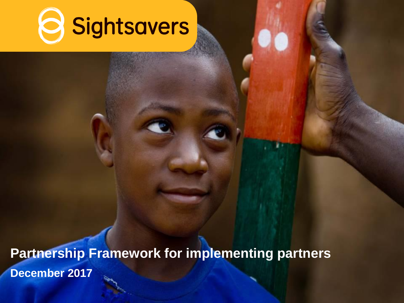

**December 2017 Partnership Framework for implementing partners**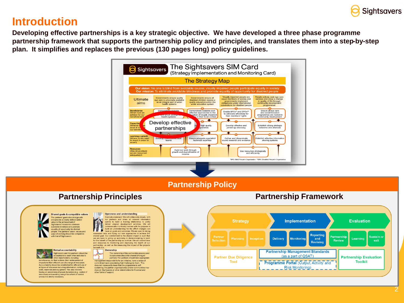

#### **Introduction**

**Developing effective partnerships is a key strategic objective. We have developed a three phase programme partnership framework that supports the partnership policy and principles, and translates them into a step-by-step plan. It simplifies and replaces the previous (130 pages long) policy guidelines.**



**Partnership Policy**

#### **Partnership Principles Partnership Framework** Shared goals & compatible values 19 Openness and understanding Example statement: We will collaborate closely with<br>our partners and share all relevant information The partners' goals should align with m and provide a clearly defined added **Evaluation Implementation** and provide a clearly defined add<br>value to the achievement of<br>Sighstavers' mission to eliminate openly to build a trusting relationship to jointly<br>deliver aligned development activities. We will<br>communicate in a timely manner with the purpose to **Strategy** sidable blindness and promote equality of opportunity for diabled<br>sepple. The partners' vision, values and build an understanding for the effect changes can<br>have on goals and outcomes. We are open to taking<br>measured risks and trying out new approaches to achieve the ways of working should be compatible Reporting with that of Sightsavers shared goal. Our commitment to the shared impact is such that Partnership Sustain of we are open to giving up autonomy in decision-making to work for the benefit of the partnership as a whole. We will commit time Planning **Delivery** and Learning **Monitoring Review** exit **Revising** and resources to monitoring and improving the health of our partnership, as well as the measuring the impact of the projects beneath this. **Mutual accountability** Ownership  $\frac{1}{2}$ **Partnership Management Standards** Sightsavers and the partners should be The ownership of the partnership process and<br>its outcomes should be shared among all<br>partners.The partners should take appropriate ountable to each other and also to (as a part of QSAT) r. **Partner Due Diligence Partnership Evaluation** other stakeholders, including beneficiaries, for their actions, their achievement of<br>impact and their efficient use of a range of resources. management responsibility for an initiative, have a sense of<br>commitment and considering that it belongs to them. This **Tool Toolkit Programme Portal (Output, Activity and** Accountability should be established for efficient use of does not necessarily mean that the programme is selfall types of resources including information, contacts, skills, materials and equipment. This also involves sustaining; the partner organisation(s) and/or communities n<br>draw on Sightsavers or other stakeholders for financial and **Risk Monitoring)** having an awareness of power dynamics (e.g. control of other forms of support. resources) and avoiding using it as a form of control<br>unless it is strictly necessary.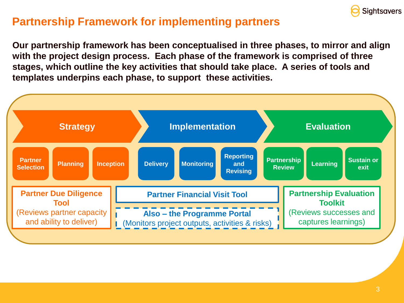

## **Partnership Framework for implementing partners**

**Our partnership framework has been conceptualised in three phases, to mirror and align with the project design process. Each phase of the framework is comprised of three stages, which outline the key activities that should take place. A series of tools and templates underpins each phase, to support these activities.**

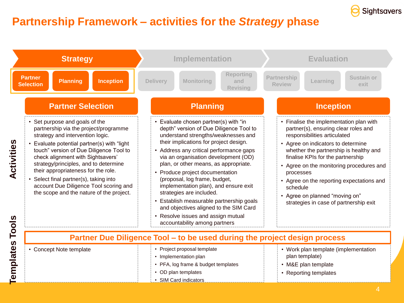

## **Partnership Framework – activities for the** *Strategy* **phase**

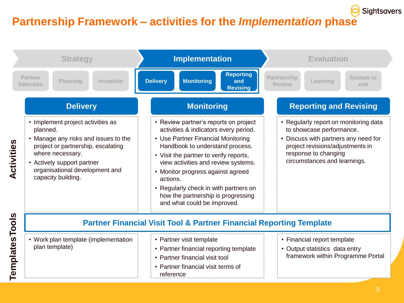# **Partnership Framework – activities for the** *Implementation* **phase**



**Sightsavers**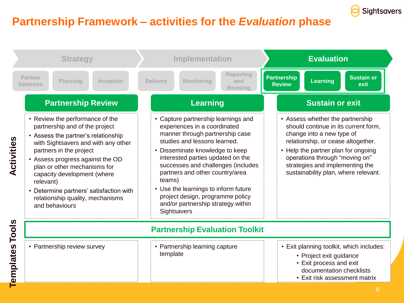

## **Partnership Framework – activities for the** *Evaluation* **phase**